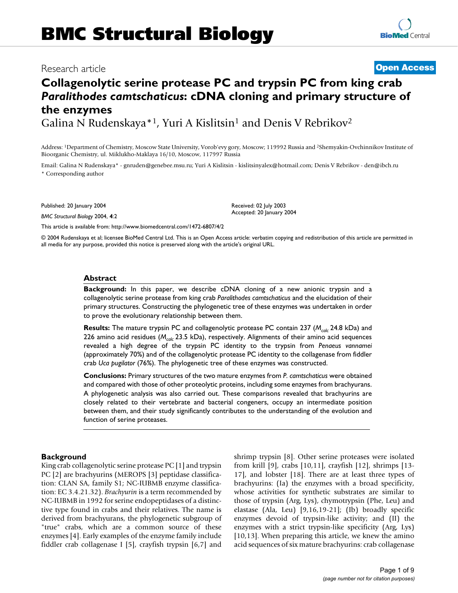# **Collagenolytic serine protease PC and trypsin PC from king crab**  *Paralithodes camtschaticus***: cDNA cloning and primary structure of the enzymes**

Galina N Rudenskaya\*<sup>1</sup>, Yuri A Kislitsin<sup>1</sup> and Denis V Rebrikov<sup>2</sup>

Address: 1Department of Chemistry, Moscow State University, Vorob'evy gory, Moscow; 119992 Russia and 2Shemyakin-Ovchinnikov Institute of Bioorganic Chemistry, ul. Miklukho-Maklaya 16/10, Moscow, 117997 Russia

Email: Galina N Rudenskaya\* - gnruden@genebee.msu.ru; Yuri A Kislitsin - kislitsinyalex@hotmail.com; Denis V Rebrikov - den@ibch.ru \* Corresponding author

Published: 20 January 2004

*BMC Structural Biology* 2004, **4**:2

[This article is available from: http://www.biomedcentral.com/1472-6807/4/2](http://www.biomedcentral.com/1472-6807/4/2)

© 2004 Rudenskaya et al; licensee BioMed Central Ltd. This is an Open Access article: verbatim copying and redistribution of this article are permitted in all media for any purpose, provided this notice is preserved along with the article's original URL.

#### **Abstract**

**Background:** In this paper, we describe cDNA cloning of a new anionic trypsin and a collagenolytic serine protease from king crab *Paralithodes camtschaticus* and the elucidation of their primary structures. Constructing the phylogenetic tree of these enzymes was undertaken in order to prove the evolutionary relationship between them.

**Results:** The mature trypsin PC and collagenolytic protease PC contain 237 (*Mcalc* 24.8 kDa) and 226 amino acid residues (*Mcalc* 23.5 kDa), respectively. Alignments of their amino acid sequences revealed a high degree of the trypsin PC identity to the trypsin from *Penaeus vannamei* (approximately 70%) and of the collagenolytic protease PC identity to the collagenase from fiddler crab *Uca pugilator* (76%). The phylogenetic tree of these enzymes was constructed.

**Conclusions:** Primary structures of the two mature enzymes from *P. camtschaticus* were obtained and compared with those of other proteolytic proteins, including some enzymes from brachyurans. A phylogenetic analysis was also carried out. These comparisons revealed that brachyurins are closely related to their vertebrate and bacterial congeners, occupy an intermediate position between them, and their study significantly contributes to the understanding of the evolution and function of serine proteases.

#### **Background**

King crab collagenolytic serine protease PC [1] and trypsin PC [2] are brachyurins (MEROPS [3] peptidase classification: CLAN SA, family S1; NC-IUBMB enzyme classification: EC 3.4.21.32). *Brachyurin* is a term recommended by NC-IUBMB in 1992 for serine endopeptidases of a distinctive type found in crabs and their relatives. The name is derived from brachyurans, the phylogenetic subgroup of "true" crabs, which are a common source of these enzymes [4]. Early examples of the enzyme family include fiddler crab collagenase I [\[5\]](#page-7-0), crayfish trypsin [6[,7\]](#page-7-1) and shrimp trypsin [8]. Other serine proteases were isolated from krill [9], crabs [10,11], crayfish [[12\]](#page-7-2), shrimps [\[13-](#page-7-3) [17\]](#page-7-4), and lobster [[18](#page-7-5)]. There are at least three types of brachyurins: (Ia) the enzymes with a broad specificity, whose activities for synthetic substrates are similar to those of trypsin (Arg, Lys), chymotrypsin (Phe, Leu) and elastase (Ala, Leu) [9,16,19-21]; (Ib) broadly specific enzymes devoid of trypsin-like activity; and (II) the enzymes with a strict trypsin-like specificity (Arg, Lys) [10,[13\]](#page-7-3). When preparing this article, we knew the amino acid sequences of six mature brachyurins: crab collagenase



## Research article **[Open Access](http://www.biomedcentral.com/info/about/charter/)**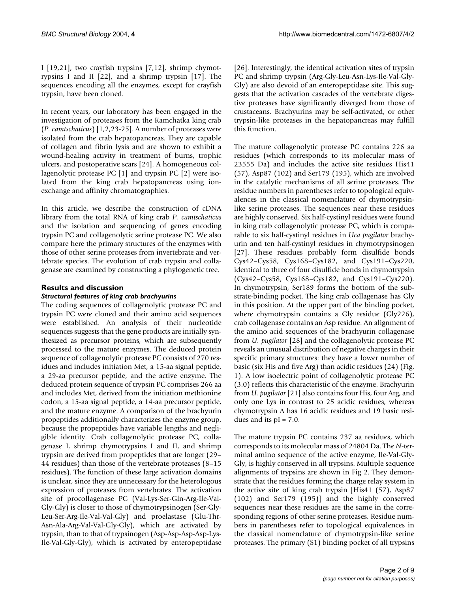I [19,21], two crayfish trypsins [[7](#page-7-1),[12\]](#page-7-2), shrimp chymotrypsins I and II [[22\]](#page-7-6), and a shrimp trypsin [[17\]](#page-7-4). The sequences encoding all the enzymes, except for crayfish trypsin, have been cloned.

In recent years, our laboratory has been engaged in the investigation of proteases from the Kamchatka king crab (*P. camtschaticus*) [1,2,23-25]. A number of proteases were isolated from the crab hepatopancreas. They are capable of collagen and fibrin lysis and are shown to exhibit a wound-healing activity in treatment of burns, trophic ulcers, and postoperative scars [\[24](#page-8-0)]. A homogeneous collagenolytic protease PC [1] and trypsin PC [2] were isolated from the king crab hepatopancreas using ionexchange and affinity chromatographies.

In this article, we describe the construction of cDNA library from the total RNA of king crab *P. camtschaticus* and the isolation and sequencing of genes encoding trypsin PC and collagenolytic serine protease PC. We also compare here the primary structures of the enzymes with those of other serine proteases from invertebrate and vertebrate species. The evolution of crab trypsin and collagenase are examined by constructing a phylogenetic tree.

### **Results and discussion**

#### *Structural features of king crab brachyurins*

The coding sequences of collagenolytic protease PC and trypsin PC were cloned and their amino acid sequences were established. An analysis of their nucleotide sequences suggests that the gene products are initially synthesized as precursor proteins, which are subsequently processed to the mature enzymes. The deduced protein sequence of collagenolytic protease PC consists of 270 residues and includes initiation Met, a 15-aa signal peptide, a 29-aa precursor peptide, and the active enzyme. The deduced protein sequence of trypsin PC comprises 266 aa and includes Met, derived from the initiation methionine codon, a 15-aa signal peptide, a 14-aa precursor peptide, and the mature enzyme. A comparison of the brachyurin propeptides additionally characterizes the enzyme group, because the propeptides have variable lengths and negligible identity. Crab collagenolytic protease PC, collagenase I, shrimp chymotrypsins I and II, and shrimp trypsin are derived from propeptides that are longer (29– 44 residues) than those of the vertebrate proteases (8–15 residues). The function of these large activation domains is unclear, since they are unnecessary for the heterologous expression of proteases from vertebrates. The activation site of procollagenase PC (Val-Lys-Ser-Gln-Arg-Ile-Val-Gly-Gly) is closer to those of chymotrypsinogen (Ser-Gly-Leu-Ser-Arg-Ile-Val-Val-Gly) and proelastase (Glu-Thr-Asn-Ala-Arg-Val-Val-Gly-Gly), which are activated by trypsin, than to that of trypsinogen (Asp-Asp-Asp-Asp-Lys-Ile-Val-Gly-Gly), which is activated by enteropeptidase [26]. Interestingly, the identical activation sites of trypsin PC and shrimp trypsin (Arg-Gly-Leu-Asn-Lys-Ile-Val-Gly-Gly) are also devoid of an enteropeptidase site. This suggests that the activation cascades of the vertebrate digestive proteases have significantly diverged from those of crustaceans. Brachyurins may be self-activated, or other trypsin-like proteases in the hepatopancreas may fulfill this function.

The mature collagenolytic protease PC contains 226 aa residues (which corresponds to its molecular mass of 23555 Da) and includes the active site residues His41 (57), Asp87 (102) and Ser179 (195), which are involved in the catalytic mechanisms of all serine proteases. The residue numbers in parentheses refer to topological equivalences in the classical nomenclature of chymotrypsinlike serine proteases. The sequences near these residues are highly conserved. Six half-cystinyl residues were found in king crab collagenolytic protease PC, which is comparable to six half-cystinyl residues in *Uca pugilator* brachyurin and ten half-cystinyl residues in chymotrypsinogen [27]. These residues probably form disulfide bonds Cys42–Cys58, Cys168–Cys182, and Cys191–Cys220, identical to three of four disulfide bonds in chymotrypsin (Cys42–Cys58, Cys168–Cys182, and Cys191–Cys220). In chymotrypsin, Ser189 forms the bottom of the substrate-binding pocket. The king crab collagenase has Gly in this position. At the upper part of the binding pocket, where chymotrypsin contains a Gly residue (Gly226), crab collagenase contains an Asp residue. An alignment of the amino acid sequences of the brachyurin collagenase from *U. pugilator* [28] and the collagenolytic protease PC reveals an unusual distribution of negative charges in their specific primary structures: they have a lower number of basic (six His and five Arg) than acidic residues (24) (Fig. [1](#page-2-0)). A low isoelectric point of collagenolytic protease PC (3.0) reflects this characteristic of the enzyme. Brachyurin from *U. pugilator* [21] also contains four His, four Arg, and only one Lys in contrast to 25 acidic residues, whereas chymotrypsin A has 16 acidic residues and 19 basic residues and its  $pI = 7.0$ .

The mature trypsin PC contains 237 aa residues, which corresponds to its molecular mass of 24804 Da. The *N*-terminal amino sequence of the active enzyme, Ile-Val-Gly-Gly, is highly conserved in all trypsins. Multiple sequence alignments of trypsins are shown in Fig 2. They demonstrate that the residues forming the charge relay system in the active site of king crab trypsin [His41 (57), Asp87 (102) and Ser179 (195)] and the highly conserved sequences near these residues are the same in the corresponding regions of other serine proteases. Residue numbers in parentheses refer to topological equivalences in the classical nomenclature of chymotrypsin-like serine proteases. The primary (S1) binding pocket of all trypsins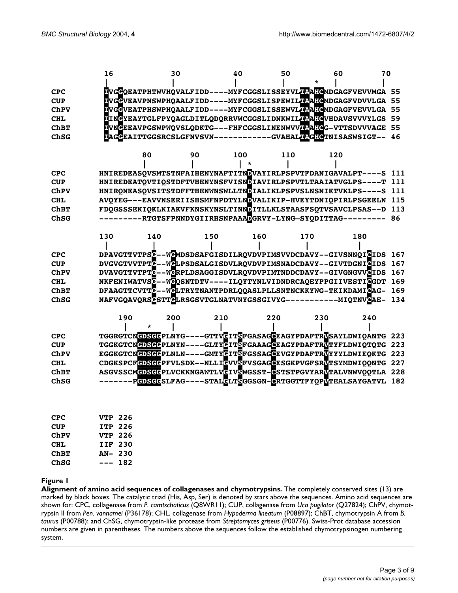<span id="page-2-0"></span>

|             | 16             | 30  |     | 40      | 50  | 60                                                                                               | 70  |     |
|-------------|----------------|-----|-----|---------|-----|--------------------------------------------------------------------------------------------------|-----|-----|
|             |                |     |     |         |     |                                                                                                  |     |     |
| <b>CPC</b>  |                |     |     |         |     | <b>N</b> VG <b>G</b> QEATPHTWVHQVALFIDD----MYFCGGSLISSEYVL <mark>IV:</mark> A:IGMDGAGFVEVVMGA 55 |     |     |
| <b>CUP</b>  |                |     |     |         |     | IVGGVEAVPNSWPHOAALFIDD----MYFCGGSLISPEWILPRAHOMOGAGFVDVVLGA 55                                   |     |     |
| ChPV        |                |     |     |         |     | NCGVEATPHSWPHQAALFIDD----MYFCGGSLISSEWVLOREMDGAGFVEVVLGA 55                                      |     |     |
| <b>CHL</b>  |                |     |     |         |     | IINGYEAYTGLFPYQAGLDITLQDQRRVWCGGSLIDNKWILTRAFGVHDAVSVVVYLGS 59                                   |     |     |
| <b>ChBT</b> |                |     |     |         |     | NVNGEEAVPGSWPWQVSLQDKTG---FHFCGGSLINENWVVHAHGG-VTTSDVVVAGE 55                                    |     |     |
| ChSG        |                |     |     |         |     | DAGGEAITTGGSRCSLGFNVSVN-----------GVAHALDAGHGTMISASWSIGT-- 46                                    |     |     |
|             |                |     |     |         |     |                                                                                                  |     |     |
|             |                | 80  | 90  | 100     | 110 | 120                                                                                              |     |     |
|             |                |     |     | $\star$ |     |                                                                                                  |     |     |
| <b>CPC</b>  |                |     |     |         |     | HNIREDEASQVSMTSTNFAIHENYNAFTITNDVAYIRLPSPVTFDANIGAVALPT----S 111                                 |     |     |
| <b>CUP</b>  |                |     |     |         |     | HNIREDEATQVTIQSTDFTVHENYNSFVISNDIAVIRLPSPVTLTAAIATVGLPS----T 111                                 |     |     |
| ChPV        |                |     |     |         |     | HNIRQNEASQVSITSTDFFTHENWNSWLLTNDIALIKLPSPVSLNSNIKTVKLPS----S 111                                 |     |     |
| <b>CHL</b>  |                |     |     |         |     | AVQYEG---EAVVNSERIISHSMFNPDTYLNDVALIKIP-HVEYTDNIQPIRLPSGEELN 115                                 |     |     |
| <b>ChBT</b> |                |     |     |         |     | FDQGSSSEKIQKLKIAKVFKNSKYNSLTINNDITLLKLSTAASFSQTVSAVCLPSAS--D 113                                 |     |     |
| ChSG        |                |     |     |         |     | ---------RTGTSFPNNDYGIIRHSNPAAADGRVY-LYNG-SYQDITTAG--------- 86                                  |     |     |
|             |                |     |     |         |     |                                                                                                  |     |     |
|             | 130            | 140 | 150 | 160     |     | 170                                                                                              | 180 |     |
|             |                |     |     |         |     |                                                                                                  |     |     |
| <b>CPC</b>  |                |     |     |         |     | DPAVGTTVTPSC--WCMDSDSAFGISDILRQVDVPIMSVVDCDAVY--GIVSNNQICIDS 167                                 |     |     |
| <b>CUP</b>  |                |     |     |         |     | DVGVGTVVTPTC--WCLPSDSALGISDVLRQVDVPIMSNADCDAVY--GIVTDGNIGIDS 167                                 |     |     |
| ChPV        |                |     |     |         |     | DVAVGTTVTPTC--WCRPLDSAGGISDVLRQVDVPIMTNDDCDAVY--GIVGNGVVCIDS 167                                 |     |     |
| <b>CHL</b>  |                |     |     |         |     | NKFENIWATVSC--WCQSNTDTV----ILQYTYNLVIDNDRCAQEYPPGIIVESTIGGDT 169                                 |     |     |
| <b>ChBT</b> |                |     |     |         |     | DFAAGTTCVTTG--WGLTRYTNANTPDRLQQASLPLLSNTNCKKYWG-TKIKDAMIGAG-                                     |     | 169 |
| ChSG        |                |     |     |         |     | NAFVGQAVQRSGSTTGLRSGSVTGLNATVNYGSSGIVYG-----------MIQTNVGAE-                                     |     | 134 |
|             |                |     |     |         |     |                                                                                                  |     |     |
|             | 190            | 200 | 210 |         | 220 | 230                                                                                              | 240 |     |
|             |                |     |     |         |     |                                                                                                  |     |     |
| <b>CPC</b>  |                |     |     |         |     | TGGRGTCNGDSGGPLNYG----GTTVGITSFGASAGGEAGYPDAFTRVSAYLDWIQANTG 223                                 |     |     |
| <b>CUP</b>  |                |     |     |         |     | TGGKGTCNGDSGGPLNYN----GLTYGITSFGAAAGGEAGYPDAFTRUTYFLDWIQTQTG 223                                 |     |     |
| ChPV        |                |     |     |         |     | EGGKGTCNGDSGGPLNLN----GMTYGITSFGSSAGGEVGYPDAFTRUYYYLDWIEQKTG 223                                 |     |     |
| <b>CHL</b>  |                |     |     |         |     | CDGKSPCFGDSGGPFVLSDK--NLLIGVVSFVSGAGGESGKPVGFSRVTSYMDWIQQNTG 227                                 |     |     |
| <b>ChBT</b> |                |     |     |         |     | ASGVSSCMGDSGGPLVCKKNGAWTLVGIVSWGSST-GSTSTPGVYARVTALVNWVQQTLA 228                                 |     |     |
| ChSG        |                |     |     |         |     | -------PGDSGGSLFAG----STAL <mark>G</mark> LTSGGSGN- <mark>G</mark> RTGGTTFYQPVTEALSAYGATVL 182   |     |     |
|             |                |     |     |         |     |                                                                                                  |     |     |
|             |                |     |     |         |     |                                                                                                  |     |     |
|             |                |     |     |         |     |                                                                                                  |     |     |
| <b>CPC</b>  | <b>VTP 226</b> |     |     |         |     |                                                                                                  |     |     |
| <b>CUP</b>  | ITP 226        |     |     |         |     |                                                                                                  |     |     |
| $Ch D VI$   | $TTTD$ $226$   |     |     |         |     |                                                                                                  |     |     |

| ChPV        | VTP 226 |         |
|-------------|---------|---------|
| CHL.        |         | IIF 230 |
| <b>ChBT</b> | AN- 230 |         |
| ChSG        |         | --- 182 |

#### **Figure 1**

**Alignment of amino acid sequences of collagenases and chymotrypsins.** The completely conserved sites (13) are marked by black boxes. The catalytic triad (His, Asp, Ser) is denoted by stars above the sequences. Amino acid sequences are shown for: CPC, collagenase from *P. camtschaticus* (Q8WR11); CUP, collagenase from *Uca pugilator* (Q27824); ChPV, chymotrypsin II from *Pen. vannamei* (P36178); CHL, collagenase from *Hypoderma lineatum* (P08897); ChBT, chymotrypsin A from *B. taurus* (P00788); and ChSG, chymotrypsin-like protease from *Streptomyces griseus* (P00776). Swiss-Prot database accession numbers are given in parentheses. The numbers above the sequences follow the established chymotrypsinogen numbering system.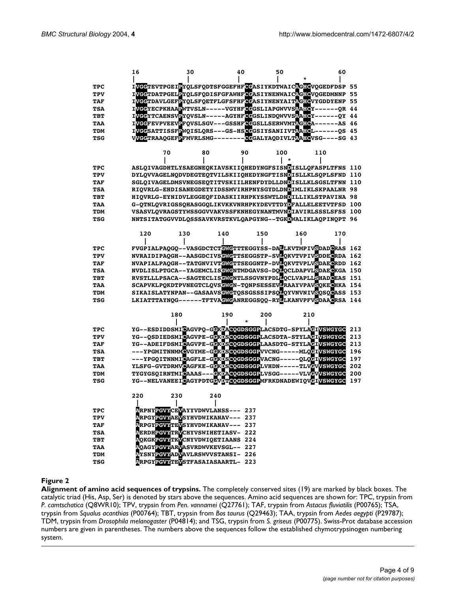|            | 16  | 30  |                                                    | 40  | 50  | 60                                                                                       |     |
|------------|-----|-----|----------------------------------------------------|-----|-----|------------------------------------------------------------------------------------------|-----|
|            |     |     |                                                    |     |     |                                                                                          |     |
| <b>TPC</b> |     |     |                                                    |     |     | IVGGTEVTPGEIPYQLSFQDTSFGGEFHFCGASIYKDTWAICTGHCVQGEDFDSP 55                               |     |
| TPV        |     |     |                                                    |     |     | IVGGTDATPGELPYQLSFQDISFGFAWHFGGASIYNENWAICAGHGVQGEDMNNP 55                               |     |
| TAF        |     |     |                                                    |     |     | IVGGTDAVLGEFPYQLSFQETFLGFSFHF <mark>GG</mark> ASIYNENYAIT <mark>AGHG</mark> VYGDDYENP 55 |     |
| TSA        |     |     |                                                    |     |     | IVGGYECPKHAAPWTVSLN-----VGYHFGGGSLIAPGWVVS <mark>AHGY------QR 44</mark>                  |     |
| TBT        |     |     |                                                    |     |     | IVGGYTCAENSVEYQVSLN-----AGYHFCGGSLINDQWVVSTAHCY------QY 44                               |     |
| TAA        |     |     |                                                    |     |     | IVGGFEVPVEEVEFQVSLSGV---GSSHFCGGSLLSERWVMTEGHGA------AS 46                               |     |
| TDM        |     |     |                                                    |     |     | IVGGSATTISSFEWQISLQRS---GS-HSCGGSIYSANIIVTAAHGL------QS 45                               |     |
| TSG        |     |     |                                                    |     |     | VVGGTRAAQGEFEFMVRLSMG---------GGGALYAQDIVLTAAHGVSG----SG 43                              |     |
|            |     |     |                                                    |     |     |                                                                                          |     |
|            |     | 70  | 80                                                 | 90  | 100 | 110                                                                                      |     |
|            |     |     |                                                    |     |     |                                                                                          |     |
| TPC        |     |     |                                                    |     |     | ASLQIVAGDHTLYSAEGNEQKIAVSKIIQHEDYNGFSISNDISLLQFASPLTFNS                                  | 110 |
| TPV        |     |     |                                                    |     |     | DYLQVVAGELNQDVDEGTEQTVILSKIIQHEDYNGFTISNDISLLKLSQPLSFND                                  | 110 |
| TAF        |     |     |                                                    |     |     | SGLQIVAGELDMSVNEGSEQTITVSKIILHENFDYDLLDNDISLLKLSGSLTFNN 110                              |     |
| TSA        |     |     |                                                    |     |     | RIOVRLG-EHDISANEGDETYIDSSMVIRHPNYSGYDLDNDIMLIKLSKPAALNR 98                               |     |
| TBT        |     |     |                                                    |     |     | HIOVRLG-EYNIDVLEGGEOFIDASKIIRHPKYSSWTLDNDILLIKLSTPAVINA 98                               |     |
| TAA        |     |     |                                                    |     |     | G-QTNLQVRIGSSQHASGGQLIKVKKVNRHPKYDEVTTDYDFALLELEETVTFSD                                  | 100 |
| TDM        |     |     |                                                    |     |     | VSASVLQVRAGSTYWSSGGVVAKVSSFKNHEGYNANTMVNDIAVIRLSSSLSFSS                                  | 100 |
| TSG        |     |     |                                                    |     |     | NNTSITATGGVVDLQSSSAVKVRSTKVLQAPGYNG--TGKDWALIKLAQPINQPT 96                               |     |
|            |     |     |                                                    |     |     |                                                                                          |     |
|            | 120 | 130 | 140                                                | 150 |     | 160<br>170                                                                               |     |
|            |     |     |                                                    |     |     |                                                                                          |     |
| TPC        |     |     |                                                    |     |     | FVGPIALPAQGQ--VASGDCTCTGMGTTTEGGYSS-DALLKVTMPIVSDADGRAS 162                              |     |
| TPV        |     |     |                                                    |     |     | NVRAIDIPAQGH--AASGDCIVSGMGTTSEGGSTP-SVLQKVTVPIVSDDEGRDA 162                              |     |
| TAF        |     |     |                                                    |     |     | NVAPIALPAQGH--TATGNVIVTGMGTTSEGGNTP-DVLQKVTVPLVSDAEGRDD 162                              |     |
| TSA        |     |     |                                                    |     |     | NVDLISLPTGCA--YAGEMCLISGMGNTMDGAVSG-DOLOCLDAPVLSDAEGKGA 150                              |     |
| TBT        |     |     |                                                    |     |     | RVSTLLLPSACA--SAGTECLISCNCNTLSSGVNYPDLDQCLVAPLLSHADGEAS 151                              |     |
| TAA        |     |     |                                                    |     |     | SCAPVKLPQKDTPVNEGTCLQVSGNGN-TQNPSESSEVLRAAYVPAVSQKEGHKA 154                              |     |
| TDM        |     |     |                                                    |     |     | SIKAISLATYNPAN--GASAAVSGNGTOSSGSSSIPSOLOTVNVNIVSOSOGASS 153                              |     |
| TSG        |     |     |                                                    |     |     | LKIATTTAYNQG------TFTVAGNGANREGGSQQ-RYLLKANVPFVSDAAGRSA 144                              |     |
|            |     |     |                                                    |     |     |                                                                                          |     |
|            |     | 180 | 190                                                | 200 |     | 210                                                                                      |     |
|            |     |     |                                                    |     |     |                                                                                          |     |
| TPC        |     |     |                                                    |     |     | YG--ESDIDDSMIGAGVPQ-GGKDACQGDSGGPLACSDTG-SPYLAGIVSWGYGC                                  | 213 |
| TPV        |     |     |                                                    |     |     | YG--QSDIEDSMIGAGVPE-GGKDSGQGDSGGPLACSDTA-STYLAGIVSMGYGC                                  | 213 |
| TAF        |     |     |                                                    |     |     | YG--ADEIFDSMICAGVPE-GCKDSCQGDSGGPLAASDTG-STYLACIVSWGYGC                                  | 213 |
| TSA        |     |     |                                                    |     |     | ---YPGMITNNMMGVGYME-GGKDSGQGDSGGPVVCNG-----MLQGIVSWGYGC                                  | 196 |
| TBT        |     |     |                                                    |     |     | ---YPGQITNNMIGAGFLE-GGKDSGQGDSGGPVACNG-----QLQGIVSWGYGC                                  | 197 |
| TAA        |     |     |                                                    |     |     | YLSFG-GVTDRMVCAGFKE-G <mark>GKDSCQGDSGGP</mark> LVHDN-----TLV <mark>GVVSMGYGC</mark>     | 202 |
| TDM        |     |     |                                                    |     |     | TYGYGSQIRNTMICAAAS---CKDACQGDSGGPLVSGG-----VLVCVVSWGYGC                                  | 200 |
| TSG        |     |     |                                                    |     |     | YG--NELVANEEIGAGYPDTGGVDTCQGDSGGPMFRKDNADEWIQVGIVSWGYGC                                  | 197 |
|            |     |     |                                                    |     |     |                                                                                          |     |
|            | 220 | 230 | 240                                                |     |     |                                                                                          |     |
|            |     |     |                                                    |     |     |                                                                                          |     |
| <b>TPC</b> |     |     | <b>RRPNYPGVYCEVAYYVDWVLANSS--- 237</b>             |     |     |                                                                                          |     |
| TPV        |     |     | <b>RRPGYPGVYAEVSYHVDWIKANAV--- 237</b>             |     |     |                                                                                          |     |
| TAF        |     |     | <b>RPGY<mark>RGVY</mark>TEVSYHVDWIKANAV--- 237</b> |     |     |                                                                                          |     |
| TSA        |     |     | <b>EERDHEGVYTRVCHYVSWIHETIASV-222</b>              |     |     |                                                                                          |     |
| TBT        |     |     | <b>POKGKPGVYTKVCNYVDWIQETIAANS 224</b>             |     |     |                                                                                          |     |
| TAA        |     |     | <b>AQAGYPGVYARVASVRDWVKEVSGL-- 227</b>             |     |     |                                                                                          |     |
| TDM        |     |     | <b>NYSNYPGVYADVAVLRSWVVSTANSI-226</b>              |     |     |                                                                                          |     |
| TSG        |     |     | <b>ARPGYPGVYTEVSTFASAIASAARTL- 223</b>             |     |     |                                                                                          |     |
|            |     |     |                                                    |     |     |                                                                                          |     |

#### **Figure 2**

**Alignment of amino acid sequences of trypsins.** The completely conserved sites (19) are marked by black boxes. The catalytic triad (His, Asp, Ser) is denoted by stars above the sequences. Amino acid sequences are shown for: TPC, trypsin from *P. camtschatica* (Q8WR10); TPV, trypsin from *Pen. vannamei* (Q27761); TAF, trypsin from *Astacus fluviatilis* (P00765); TSA, trypsin from *Squalus acanthias* (P00764); TBT, trypsin from *Bos taurus* (Q29463); TAA, trypsin from *Aedes aegypti* (P29787); TDM, trypsin from *Drosophila melanogaster* (P04814); and TSG, trypsin from *S. griseus* (P00775). Swiss-Prot database accession numbers are given in parentheses. The numbers above the sequences follow the established chymotrypsinogen numbering system.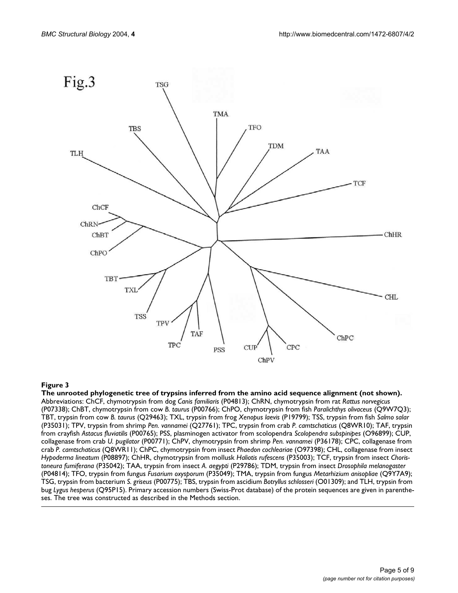

#### The unrooted phylogenetic tree of trypsins inferred **Figure 3** from the amino acid sequence alignment (not shown)

**The unrooted phylogenetic tree of trypsins inferred from the amino acid sequence alignment (not shown).**  Abbreviations: ChCF, chymotrypsin from dog *Canis familiaris* (P04813); ChRN, chymotrypsin from rat *Rattus norvegicus*  (P07338); ChBT, chymotrypsin from cow *B. taurus* (P00766); ChPO, chymotrypsin from fish *Paralichthys olivaceus* (Q9W7Q3); TBT, trypsin from cow *B. taurus* (Q29463); TXL, trypsin from frog *Xenopus laevis* (P19799); TSS, trypsin from fish *Salmo salar*  (P35031); TPV, trypsin from shrimp *Pen. vannamei* (Q27761); TPC, trypsin from crab *P. camtschaticus* (Q8WR10); TAF, trypsin from crayfish *Astacus fluviatilis* (P00765); PSS, plasminogen activator from scolopendra *Scolopendra subspinipes* (O96899); CUP, collagenase from crab *U. pugilator* (P00771); ChPV, chymotrypsin from shrimp *Pen. vannamei* (P36178); CPC, collagenase from crab *P. camtschaticus* (Q8WR11); ChPC, chymotrypsin from insect *Phaedon cochleariae* (O97398); CHL, collagenase from insect *Hypoderma lineatum* (P08897); ChHR, chymotrypsin from mollusk *Haliotis rufescens* (P35003); TCF, trypsin from insect *Choristoneura fumiferana* (P35042); TAA, trypsin from insect *A. aegypti* (P29786); TDM, trypsin from insect *Drosophila melanogaster*  (P04814); TFO, trypsin from fungus *Fusarium oxysporum* (P35049); TMA, trypsin from fungus *Metarhizium anisopliae* (Q9Y7A9); TSG, trypsin from bacterium *S. griseus* (P00775); TBS, trypsin from ascidium *Botryllus schlosseri* (O01309); and TLH, trypsin from bug *Lygus hesperus* (Q95P15). Primary accession numbers (Swiss-Prot database) of the protein sequences are given in parentheses. The tree was constructed as described in the Methods section.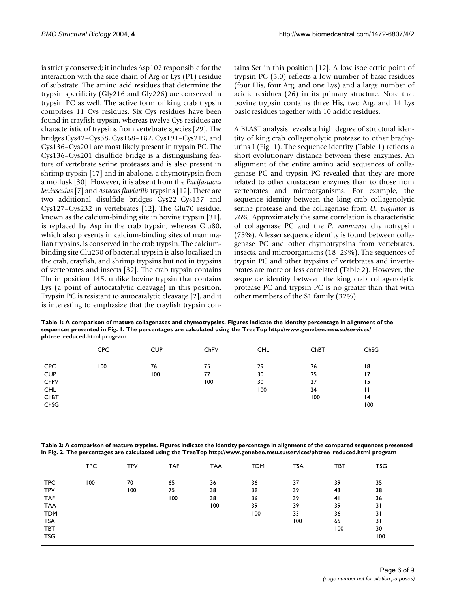is strictly conserved; it includes Asp102 responsible for the interaction with the side chain of Arg or Lys (P1) residue of substrate. The amino acid residues that determine the trypsin specificity (Gly216 and Gly226) are conserved in trypsin PC as well. The active form of king crab trypsin comprises 11 Cys residues. Six Cys residues have been found in crayfish trypsin, whereas twelve Cys residues are characteristic of trypsins from vertebrate species [29]. The bridges Cys42–Cys58, Cys168–182, Cys191–Cys219, and Cys136–Cys201 are most likely present in trypsin PC. The Cys136–Cys201 disulfide bridge is a distinguishing feature of vertebrate serine proteases and is also present in shrimp trypsin [[17\]](#page-7-4) and in abalone, a chymotrypsin from a mollusk [30]. However, it is absent from the *Pacifastacus leniusculus* [\[7](#page-7-1)] and *Astacus fluviatilis* trypsins [\[12](#page-7-2)]. There are two additional disulfide bridges Cys22–Cys157 and Cys127–Cys232 in vertebrates [[12](#page-7-2)]. The Glu70 residue, known as the calcium-binding site in bovine trypsin [31], is replaced by Asp in the crab trypsin, whereas Glu80, which also presents in calcium-binding sites of mammalian trypsins, is conserved in the crab trypsin. The calciumbinding site Glu230 of bacterial trypsin is also localized in the crab, crayfish, and shrimp trypsins but not in trypsins of vertebrates and insects [[32\]](#page-8-1). The crab trypsin contains Thr in position 145, unlike bovine trypsin that contains Lys (a point of autocatalytic cleavage) in this position. Trypsin PC is resistant to autocatalytic cleavage [2], and it is interesting to emphasize that the crayfish trypsin contains Ser in this position [\[12](#page-7-2)]. A low isoelectric point of trypsin PC (3.0) reflects a low number of basic residues (four His, four Arg, and one Lys) and a large number of acidic residues (26) in its primary structure. Note that bovine trypsin contains three His, two Arg, and 14 Lys basic residues together with 10 acidic residues.

A BLAST analysis reveals a high degree of structural identity of king crab collagenolytic protease to other brachyurins I (Fig. [1\)](#page-2-0). The sequence identity (Table [1](#page-5-0)) reflects a short evolutionary distance between these enzymes. An alignment of the entire amino acid sequences of collagenase PC and trypsin PC revealed that they are more related to other crustacean enzymes than to those from vertebrates and microorganisms. For example, the sequence identity between the king crab collagenolytic serine protease and the collagenase from *U. pugilator* is 76%. Approximately the same correlation is characteristic of collagenase PC and the *P. vannamei* chymotrypsin (75%). A lesser sequence identity is found between collagenase PC and other chymotrypsins from vertebrates, insects, and microorganisms (18–29%). The sequences of trypsin PC and other trypsins of vertebrates and invertebrates are more or less correlated (Table [2\)](#page-5-1). However, the sequence identity between the king crab collagenolytic protease PC and trypsin PC is no greater than that with other members of the S1 family (32%).

<span id="page-5-0"></span>**Table 1: A comparison of mature collagenases and chymotrypsins. Figures indicate the identity percentage in alignment of the sequences presented in Fig. [1](#page-2-0). The percentages are calculated using the TreeTop [http://www.genebee.msu.su/services/](http://www.genebee.msu.su/services/phtree_reduced.html) [phtree\\_reduced.html](http://www.genebee.msu.su/services/phtree_reduced.html) program**

|            | <b>CPC</b> | <b>CUP</b> | ChPV | <b>CHL</b> | ChBT | ChSG |  |
|------------|------------|------------|------|------------|------|------|--|
| <b>CPC</b> | 100        | 76         | 75   | 29         | 26   | 18   |  |
| <b>CUP</b> |            | 100        | 77   | 30         | 25   | 17   |  |
| ChPV       |            |            | 100  | 30         | 27   | 15   |  |
| <b>CHL</b> |            |            |      | 100        | 24   | Н    |  |
| ChBT       |            |            |      |            | 100  | 4    |  |
| ChSG       |            |            |      |            |      | 100  |  |

<span id="page-5-1"></span>**Table 2: A comparison of mature trypsins. Figures indicate the identity percentage in alignment of the compared sequences presented in Fig. 2. The percentages are calculated using the TreeTop [http://www.genebee.msu.su/services/phtree\\_reduced.html](http://www.genebee.msu.su/services/phtree_reduced.html) program**

|            | <b>TPC</b> | <b>TPV</b> | TAF | <b>TAA</b> | <b>TDM</b> | <b>TSA</b> | TBT | TSG |  |
|------------|------------|------------|-----|------------|------------|------------|-----|-----|--|
| <b>TPC</b> | 100        | 70         | 65  | 36         | 36         | 37         | 39  | 35  |  |
| <b>TPV</b> |            | 100        | 75  | 38         | 39         | 39         | 43  | 38  |  |
| <b>TAF</b> |            |            | 100 | 38         | 36         | 39         | 41  | 36  |  |
| <b>TAA</b> |            |            |     | 100        | 39         | 39         | 39  | 31  |  |
| <b>TDM</b> |            |            |     |            | 100        | 33         | 36  | 31  |  |
| <b>TSA</b> |            |            |     |            |            | 100        | 65  | 31  |  |
| TBT        |            |            |     |            |            |            | 100 | 30  |  |
| <b>TSG</b> |            |            |     |            |            |            |     | 100 |  |
|            |            |            |     |            |            |            |     |     |  |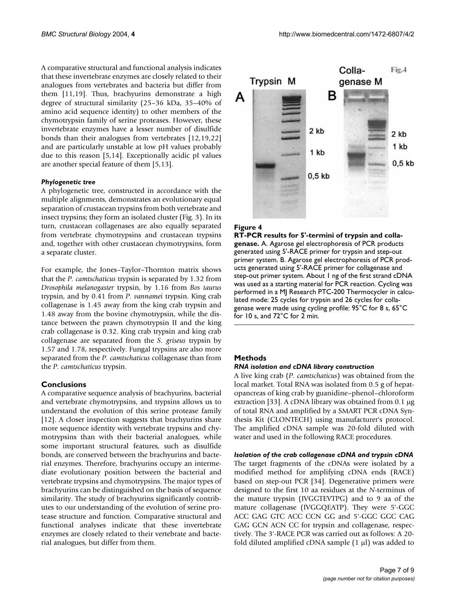A comparative structural and functional analysis indicates that these invertebrate enzymes are closely related to their analogues from vertebrates and bacteria but differ from them [11,19]. Thus, brachyurins demonstrate a high degree of structural similarity (25–36 kDa, 35–40% of amino acid sequence identity) to other members of the chymotrypsin family of serine proteases. However, these invertebrate enzymes have a lesser number of disulfide bonds than their analogues from vertebrates [\[12,](#page-7-2)19,[22\]](#page-7-6) and are particularly unstable at low pH values probably due to this reason [[5](#page-7-0),14]. Exceptionally acidic pI values are another special feature of them [\[5,](#page-7-0)[13\]](#page-7-3).

#### *Phylogenetic tree*

A phylogenetic tree, constructed in accordance with the multiple alignments, demonstrates an evolutionary equal separation of crustacean trypsins from both vertebrate and insect trypsins; they form an isolated cluster (Fig. 3). In its turn, crustacean collagenases are also equally separated from vertebrate chymotrypsins and crustacean trypsins and, together with other crustacean chymotrypsins, form a separate cluster.

For example, the Jones–Taylor–Thornton matrix shows that the *P. camtschaticus* trypsin is separated by 1.32 from *Drosophila melanogaster* trypsin, by 1.16 from *Bos taurus* trypsin, and by 0.41 from *P. vannamei* trypsin. King crab collagenase is 1.45 away from the king crab trypsin and 1.48 away from the bovine chymotrypsin, while the distance between the prawn chymotrypsin II and the king crab collagenase is 0.32. King crab trypsin and king crab collagenase are separated from the *S. griseus* trypsin by 1.57 and 1.78, respectively. Fungal trypsins are also more separated from the *P. camtschaticus* collagenase than from the *P. camtschaticus* trypsin.

#### **Conclusions**

A comparative sequence analysis of brachyurins, bacterial and vertebrate chymotrypsins, and trypsins allows us to understand the evolution of this serine protease family [[12](#page-7-2)]. A closer inspection suggests that brachyurins share more sequence identity with vertebrate trypsins and chymotrypsins than with their bacterial analogues, while some important structural features, such as disulfide bonds, are conserved between the brachyurins and bacterial enzymes. Therefore, brachyurins occupy an intermediate evolutionary position between the bacterial and vertebrate trypsins and chymotrypsins. The major types of brachyurins can be distinguished on the basis of sequence similarity. The study of brachyurins significantly contributes to our understanding of the evolution of serine protease structure and function. Comparative structural and functional analyses indicate that these invertebrate enzymes are closely related to their vertebrate and bacterial analogues, but differ from them.



#### Figure 4

**RT-PCR results for 5'-termini of trypsin and collagenase.** A. Agarose gel electrophoresis of PCR products generated using 5'-RACE primer for trypsin and step-out primer system. B. Agarose gel electrophoresis of PCR products generated using 5'-RACE primer for collagenase and step-out primer system. About 1 ng of the first strand cDNA was used as a starting material for PCR reaction. Cycling was performed in a MJ Research PTC-200 Thermocycler in calculated mode: 25 cycles for trypsin and 26 cycles for collagenase were made using cycling profile: 95°C for 8 s, 65°C for 10 s, and 72°C for 2 min.

#### **Methods**

#### *RNA isolation and cDNA library construction*

A live king crab (*P. camtschaticus*) was obtained from the local market. Total RNA was isolated from 0.5 g of hepatopancreas of king crab by guanidine–phenol–chloroform extraction [33]. A cDNA library was obtained from 0.1 µg of total RNA and amplified by a SMART PCR cDNA Synthesis Kit (CLONTECH) using manufacturer's protocol. The amplified cDNA sample was 20-fold diluted with water and used in the following RACE procedures.

#### *Isolation of the crab collagenase cDNA and trypsin cDNA*

The target fragments of the cDNAs were isolated by a modified method for amplifying cDNA ends (RACE) based on step-out PCR [34]. Degenerative primers were designed to the first 10 aa residues at the *N*-terminus of the mature trypsin (IVGGTEVTPG) and to 9 aa of the mature collagenase (IVGGQEATP). They were 5'-GGC ACC GAG GTC ACC CCN GG and 5'-GGC GGC CAG GAG GCN ACN CC for trypsin and collagenase, respectively. The 3'-RACE PCR was carried out as follows: A 20 fold diluted amplified cDNA sample  $(1 \mu l)$  was added to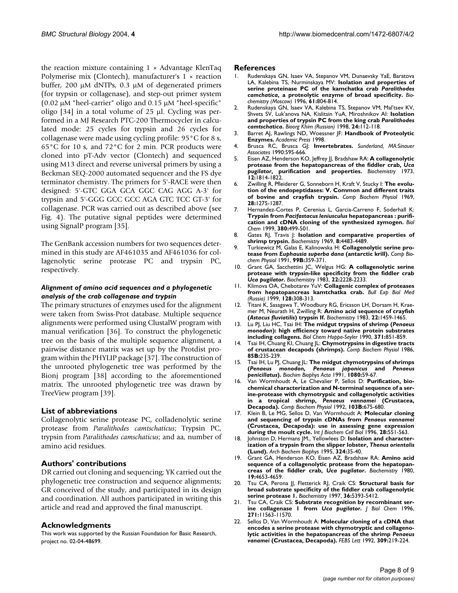the reaction mixture containing  $1 \times$  Advantage KlenTaq Polymerise mix (Clontech), manufacturer's  $1 \times$  reaction buffer, 200 µM dNTPs, 0.3 µM of degenerated primers (for trypsin or collagenase), and step-out primer system (0.02 µM "heel-carrier" oligo and 0.15 µM "heel-specific" oligo  $[34]$  in a total volume of 25  $\mu$ l. Cycling was performed in a MJ Research PTC-200 Thermocycler in calculated mode: 25 cycles for trypsin and 26 cycles for collagenase were made using cycling profile: 95°C for 8 s, 65°C for 10 s, and 72°C for 2 min. PCR products were cloned into pT-Adv vector (Clontech) and sequenced using M13 direct and reverse universal primers by using a Beckman SEQ-2000 automated sequencer and the FS dye terminator chemistry. The primers for 5'-RACE were then designed: 5'-GTC GGA GCA GGC CAG AGG A-3' for trypsin and 5'-GGG GCC GCC AGA GTC TCC GT-3' for collagenase. PCR was carried out as described above (see Fig. 4). The putative signal peptides were determined using SignalP program [35].

The GenBank accession numbers for two sequences determined in this study are AF461035 and AF461036 for collagenolytic serine protease PC and trypsin PC, respectively.

#### *Alignment of amino acid sequences and a phylogenetic analysis of the crab collagenase and trypsin*

The primary structures of enzymes used for the alignment were taken from Swiss-Prot database. Multiple sequence alignments were performed using ClustalW program with manual verification [36]. To construct the phylogenetic tree on the basis of the multiple sequence alignment, a pairwise distance matrix was set up by the Protdist program within the PHYLIP package [37]. The construction of the unrooted phylogenetic tree was performed by the Bionj program [38] according to the aforementioned matrix. The unrooted phylogenetic tree was drawn by TreeView program [39].

#### **List of abbreviations**

Collagenolytic serine protease PC, colladenolytic serine protease from *Paralithodes camtschaticus*; Trypsin PC, trypsin from *Paralithodes camschaticus*; and aa, number of amino acid residues.

#### **Authors' contributions**

DR carried out cloning and sequencing; YK carried out the phylogenetic tree construction and sequence alignments; GR conceived of the study, and participated in its design and coordination. All authors participated in writing this article and read and approved the final manuscript.

#### **Acknowledgments**

This work was supported by the Russian Foundation for Basic Research, project no. 02-04-48699.

#### **References**

- 1. Rudenskaya GN, Isaev VA, Stepanov VM, Dunaevsky YaE, Baratova LA, Kalebina TS, Nurminskaya MV: **Isolation and properties of serine proteinase PC of the kamchatka crab** *Paralithodes camchatica***, a proteolytic enzyme of broad specificity.** *Biochemistry (Moscow)* 1996, **61:**804-814.
- 2. Rudenskaya GN, Isaev VA, Kalebina TS, Stepanov VM, Mal'tsev KV, Shvets SV, Luk'anova NA, Kislitsin YuA, Miroshnikov AI: **Isolation and properties of trypsin PC from the king crab** *Paralithodes camtschatica***.** *Bioorg Khim (Russian)* 1998, **24:**112-118.
- 3. Barret AJ, Rawlings ND, Woessner JF: **Handbook of Proteolytic Enzymes.** *Academic Press* 1998.
- 4. Brusca RC, Brusca GJ: **Invertebrates.** *Sunderland, MA:Sinauer Associates* 1990:595-666.
- <span id="page-7-0"></span>5. Eisen AZ, Henderson KO, Jeffrey JJ, Bradshaw RA: **A collagenolytic protease from the hepatopancreas of the fiddler crab,** *Uca pugilator***[, purification and properties.](http://www.ncbi.nlm.nih.gov/entrez/query.fcgi?cmd=Retrieve&db=PubMed&dopt=Abstract&list_uids=4633482)** *Biochemistry* 1973, **12:**1814-1822.
- 6. Zwilling R, Pfleiderer G, Sonneborn H, Kraft V, Stucky I: **[The evolu](http://www.ncbi.nlm.nih.gov/entrez/query.fcgi?cmd=Retrieve&db=PubMed&dopt=Abstract&list_uids=10.1016/0010-406X(69)90566-0)[tion of the endopeptidases: V. Common and different traits](http://www.ncbi.nlm.nih.gov/entrez/query.fcgi?cmd=Retrieve&db=PubMed&dopt=Abstract&list_uids=10.1016/0010-406X(69)90566-0) [of bovine and crayfish trypsin](http://www.ncbi.nlm.nih.gov/entrez/query.fcgi?cmd=Retrieve&db=PubMed&dopt=Abstract&list_uids=10.1016/0010-406X(69)90566-0)[.](http://www.ncbi.nlm.nih.gov/entrez/query.fcgi?cmd=Retrieve&db=PubMed&dopt=Abstract&list_uids=4306774)** *Comp Biochem Physiol* 1969, **28:**1275-1287.
- <span id="page-7-1"></span>7. Hernandez-Cortes P, Cerenius L, Garcia-Carreno F, Soderhall K: **Trypsin from** *Pacifastacus leniusculus* **[hepatopancreas : purifi](http://www.ncbi.nlm.nih.gov/entrez/query.fcgi?cmd=Retrieve&db=PubMed&dopt=Abstract&list_uids=10355637)[cation and cDNA cloning of the synthesized zymogen.](http://www.ncbi.nlm.nih.gov/entrez/query.fcgi?cmd=Retrieve&db=PubMed&dopt=Abstract&list_uids=10355637)** *Biol Chem* 1999, **380:**499-501.
- 8. Gates RJ, Travis J: **[Isolation and comparative properties of](http://www.ncbi.nlm.nih.gov/entrez/query.fcgi?cmd=Retrieve&db=PubMed&dopt=Abstract&list_uids=5353110) [shrimp trypsin.](http://www.ncbi.nlm.nih.gov/entrez/query.fcgi?cmd=Retrieve&db=PubMed&dopt=Abstract&list_uids=5353110)** *Biochemistry* 1969, **8:**4483-4489.
- 9. Turkiewicz M, Galas E, Kalinowska H: **Collagenolytic serine protease from** *Euphausia superba dana* **(antarctic krill).** *Comp Biochem Physiol* 1991, **99B:**359-371.
- 10. Grant GA, Sacchettini JC, Welgus HG: **A collagenolytic serine protease with trypsin-like specificity from the fiddler crab** *Uca pugilator***[.](http://www.ncbi.nlm.nih.gov/entrez/query.fcgi?cmd=Retrieve&db=PubMed&dopt=Abstract&list_uids=6305411)** *Biochemistry* 1983, **22:**2228-2233.
- 11. Klimova OA, Chebotarev YuV: **Collagenic complex of proteases from hepatopancreas kamtchatka crab.** *Bull Exp Biol Med (Russia)* 1999, **128:**308-313.
- <span id="page-7-2"></span>12. Titani K, Sasagawa T, Woodbury RG, Ericsson LH, Dorsam H, Kraemer M, Neurath H, Zwilling R: **Amino acid sequence of crayfish (***Astacus fluviatilis***[\) trypsin If.](http://www.ncbi.nlm.nih.gov/entrez/query.fcgi?cmd=Retrieve&db=PubMed&dopt=Abstract&list_uids=6838862)** *Biochemistry* 1983, **22:**1459-1465.
- <span id="page-7-3"></span>13. Lu PJ, Liu HC, Tsai IH: **The midgut trypsins of shrimp (***Penaeus monodon***[\): high efficiency toward native protein substrates](http://www.ncbi.nlm.nih.gov/entrez/query.fcgi?cmd=Retrieve&db=PubMed&dopt=Abstract&list_uids=1963309) [including collagens.](http://www.ncbi.nlm.nih.gov/entrez/query.fcgi?cmd=Retrieve&db=PubMed&dopt=Abstract&list_uids=1963309)** *Biol Chem Hoppe-Seyler* 1990, **371:**851-859.
- 14. Tsai IH, Chuang KI, Chuang JL: **Chymotrypsins in digestive tracts of crustacean decapods (shrimps).** *Comp Biochem Physiol* 1986, **85B:**235-239.
- 15. Tsai IH, Lu PJ, Chuang JL: **The midgut chymotrypsins of shrimps (***Penaeus monodon, Penaeus japonicus* **and** *Penaeus penicillatus***[\)](http://www.ncbi.nlm.nih.gov/entrez/query.fcgi?cmd=Retrieve&db=PubMed&dopt=Abstract&list_uids=10.1016/0167-4838(91)90112-D)[.](http://www.ncbi.nlm.nih.gov/entrez/query.fcgi?cmd=Retrieve&db=PubMed&dopt=Abstract&list_uids=1657178)** *Biochim Biophys Acta* 1991, **1080:**59-67.
- 16. Van Wormhoudt A, Le Chevalier P, Sellos D: **Purification, biochemical characterization and N-terminal sequence of a serine-protease with chymotrypsic and collagenolytic activities in a tropical shrimp,** *Penaeus vannamei* **(Crustacea, Decapoda).** *Comp Biochem Physiol* 1992, **103B:**675-680.
- <span id="page-7-4"></span>17. Klein B, Le MG, Sellos D, Van Wormhoudt A: **Molecular cloning and sequencing of trypsin cDNAs from** *Penaeus vannamei* **[\(Crustacea, Decapoda\): use in assessing gene expression](http://www.ncbi.nlm.nih.gov/entrez/query.fcgi?cmd=Retrieve&db=PubMed&dopt=Abstract&list_uids=10.1016/1357-2725(95)00169-7) [during the moult cycle](http://www.ncbi.nlm.nih.gov/entrez/query.fcgi?cmd=Retrieve&db=PubMed&dopt=Abstract&list_uids=10.1016/1357-2725(95)00169-7)[.](http://www.ncbi.nlm.nih.gov/entrez/query.fcgi?cmd=Retrieve&db=PubMed&dopt=Abstract&list_uids=8697100)** *Int J Biochem Cell Biol* 1996, **28:**551-563.
- <span id="page-7-5"></span>18. Johnston D, Hermans JM., Yellowlees D: **Isolation and characterization of a trypsin from the slipper lobster,** *Thenus orientalis* **[\(Lund\)](http://www.ncbi.nlm.nih.gov/entrez/query.fcgi?cmd=Retrieve&db=PubMed&dopt=Abstract&list_uids=10.1006/abbi.1995.9933)[.](http://www.ncbi.nlm.nih.gov/entrez/query.fcgi?cmd=Retrieve&db=PubMed&dopt=Abstract&list_uids=7503556)** *Arch Biochem Biophys* 1995, **324:**35-40.
- 19. Grant GA, Henderson KO, Eisen AZ, Bradshaw RA: **Amino acid sequence of a collagenolytic protease from the hepatopancreas of the fiddler crab,** *Uca pugilator***[.](http://www.ncbi.nlm.nih.gov/entrez/query.fcgi?cmd=Retrieve&db=PubMed&dopt=Abstract&list_uids=6252953)** *Biochemistry* 1980, **19:**4653-4659.
- 20. Tsu CA, Perona JJ, Fletterick RJ, Craik CS: **[Structural basis for](http://www.ncbi.nlm.nih.gov/entrez/query.fcgi?cmd=Retrieve&db=PubMed&dopt=Abstract&list_uids=10.1021/bi961753u) [broad substrate specificity of the fiddler crab collagenolytic](http://www.ncbi.nlm.nih.gov/entrez/query.fcgi?cmd=Retrieve&db=PubMed&dopt=Abstract&list_uids=10.1021/bi961753u) [serine protease 1](http://www.ncbi.nlm.nih.gov/entrez/query.fcgi?cmd=Retrieve&db=PubMed&dopt=Abstract&list_uids=10.1021/bi961753u)[.](http://www.ncbi.nlm.nih.gov/entrez/query.fcgi?cmd=Retrieve&db=PubMed&dopt=Abstract&list_uids=9154921)** *Biochemistry* 1997, **36:**5393-5412.
- 21. Tsu CA, Craik CS: **Substrate recognition by recombinant serine collagenase 1 from** *Uca pugilator***[.](http://www.ncbi.nlm.nih.gov/entrez/query.fcgi?cmd=Retrieve&db=PubMed&dopt=Abstract&list_uids=8626718)** *J Biol Chem* 1996, **271:**11563-11570.
- <span id="page-7-6"></span>22. Sellos D, Van Wormhoudt A: **Molecular cloning of a cDNA that encodes a serine protease with chymotryptic and collagenolytic activities in the hepatopancreas of the shrimp** *Penaeus vanamei* **[\(Crustacea, Decapoda\)](http://www.ncbi.nlm.nih.gov/entrez/query.fcgi?cmd=Retrieve&db=PubMed&dopt=Abstract&list_uids=10.1016/0014-5793(92)80777-E)[.](http://www.ncbi.nlm.nih.gov/entrez/query.fcgi?cmd=Retrieve&db=PubMed&dopt=Abstract&list_uids=1516690)** *FEBS Lett* 1992, **309:**219-224.